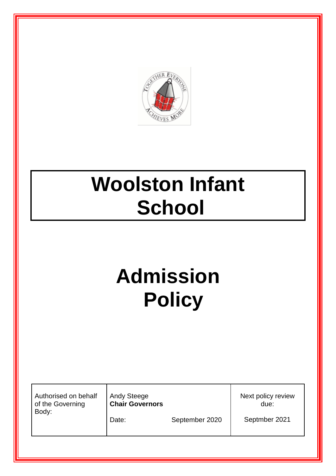

# **Woolston Infant School**

# **Admission Policy**

| Authorised on behalf |  |
|----------------------|--|
| of the Governing     |  |
| Body:                |  |

Andy Steege **Chair Governors** 

Date: September 2020

Next policy review due:

Septmber 2021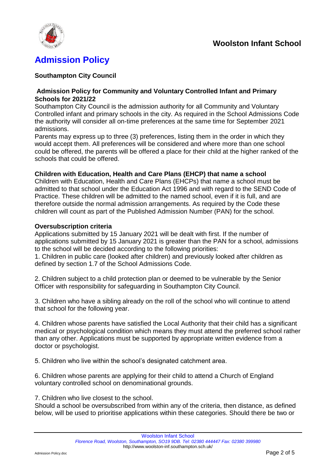



## **Admission Policy**

#### **Southampton City Council**

#### **Admission Policy for Community and Voluntary Controlled Infant and Primary Schools for 2021/22**

Southampton City Council is the admission authority for all Community and Voluntary Controlled infant and primary schools in the city. As required in the School Admissions Code the authority will consider all on-time preferences at the same time for September 2021 admissions.

Parents may express up to three (3) preferences, listing them in the order in which they would accept them. All preferences will be considered and where more than one school could be offered, the parents will be offered a place for their child at the higher ranked of the schools that could be offered.

#### **Children with Education, Health and Care Plans (EHCP) that name a school**

Children with Education, Health and Care Plans (EHCPs) that name a school must be admitted to that school under the Education Act 1996 and with regard to the SEND Code of Practice. These children will be admitted to the named school, even if it is full, and are therefore outside the normal admission arrangements. As required by the Code these children will count as part of the Published Admission Number (PAN) for the school.

#### **Oversubscription criteria**

Applications submitted by 15 January 2021 will be dealt with first. If the number of applications submitted by 15 January 2021 is greater than the PAN for a school, admissions to the school will be decided according to the following priorities:

1. Children in public care (looked after children) and previously looked after children as defined by section 1.7 of the School Admissions Code.

2. Children subject to a child protection plan or deemed to be vulnerable by the Senior Officer with responsibility for safeguarding in Southampton City Council.

3. Children who have a sibling already on the roll of the school who will continue to attend that school for the following year.

4. Children whose parents have satisfied the Local Authority that their child has a significant medical or psychological condition which means they must attend the preferred school rather than any other. Applications must be supported by appropriate written evidence from a doctor or psychologist.

5. Children who live within the school's designated catchment area.

6. Children whose parents are applying for their child to attend a Church of England voluntary controlled school on denominational grounds.

7. Children who live closest to the school.

Should a school be oversubscribed from within any of the criteria, then distance, as defined below, will be used to prioritise applications within these categories. Should there be two or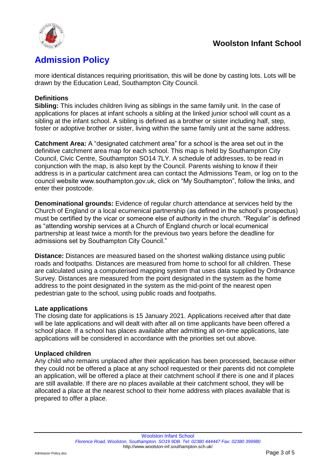### **Woolston Infant School**



## **Admission Policy**

more identical distances requiring prioritisation, this will be done by casting lots. Lots will be drawn by the Education Lead, Southampton City Council.

#### **Definitions**

**Sibling:** This includes children living as siblings in the same family unit. In the case of applications for places at infant schools a sibling at the linked junior school will count as a sibling at the infant school. A sibling is defined as a brother or sister including half, step, foster or adoptive brother or sister, living within the same family unit at the same address.

**Catchment Area:** A "designated catchment area" for a school is the area set out in the definitive catchment area map for each school. This map is held by Southampton City Council, Civic Centre, Southampton SO14 7LY. A schedule of addresses, to be read in conjunction with the map, is also kept by the Council. Parents wishing to know if their address is in a particular catchment area can contact the Admissions Team, or log on to the council website www.southampton.gov.uk, click on "My Southampton", follow the links, and enter their postcode.

**Denominational grounds:** Evidence of regular church attendance at services held by the Church of England or a local ecumenical partnership (as defined in the school's prospectus) must be certified by the vicar or someone else of authority in the church. "Regular" is defined as "attending worship services at a Church of England church or local ecumenical partnership at least twice a month for the previous two years before the deadline for admissions set by Southampton City Council."

**Distance:** Distances are measured based on the shortest walking distance using public roads and footpaths. Distances are measured from home to school for all children. These are calculated using a computerised mapping system that uses data supplied by Ordnance Survey. Distances are measured from the point designated in the system as the home address to the point designated in the system as the mid-point of the nearest open pedestrian gate to the school, using public roads and footpaths.

#### **Late applications**

The closing date for applications is 15 January 2021. Applications received after that date will be late applications and will dealt with after all on time applicants have been offered a school place. If a school has places available after admitting all on-time applications, late applications will be considered in accordance with the priorities set out above.

#### **Unplaced children**

Any child who remains unplaced after their application has been processed, because either they could not be offered a place at any school requested or their parents did not complete an application, will be offered a place at their catchment school if there is one and if places are still available. If there are no places available at their catchment school, they will be allocated a place at the nearest school to their home address with places available that is prepared to offer a place.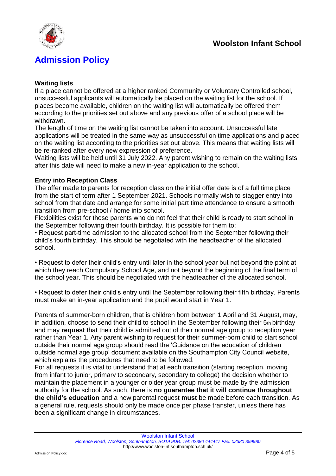

## **Admission Policy**

#### **Waiting lists**

If a place cannot be offered at a higher ranked Community or Voluntary Controlled school, unsuccessful applicants will automatically be placed on the waiting list for the school. If places become available, children on the waiting list will automatically be offered them according to the priorities set out above and any previous offer of a school place will be withdrawn.

The length of time on the waiting list cannot be taken into account. Unsuccessful late applications will be treated in the same way as unsuccessful on time applications and placed on the waiting list according to the priorities set out above. This means that waiting lists will be re-ranked after every new expression of preference.

Waiting lists will be held until 31 July 2022. Any parent wishing to remain on the waiting lists after this date will need to make a new in-year application to the school.

#### **Entry into Reception Class**

The offer made to parents for reception class on the initial offer date is of a full time place from the start of term after 1 September 2021. Schools normally wish to stagger entry into school from that date and arrange for some initial part time attendance to ensure a smooth transition from pre-school / home into school.

Flexibilities exist for those parents who do not feel that their child is ready to start school in the September following their fourth birthday. It is possible for them to:

• Request part-time admission to the allocated school from the September following their child's fourth birthday. This should be negotiated with the headteacher of the allocated school.

• Request to defer their child's entry until later in the school year but not beyond the point at which they reach Compulsory School Age, and not beyond the beginning of the final term of the school year. This should be negotiated with the headteacher of the allocated school.

• Request to defer their child's entry until the September following their fifth birthday. Parents must make an in-year application and the pupil would start in Year 1.

Parents of summer-born children, that is children born between 1 April and 31 August, may, in addition, choose to send their child to school in the September following their 5th birthday and may **request** that their child is admitted out of their normal age group to reception year rather than Year 1. Any parent wishing to request for their summer-born child to start school outside their normal age group should read the 'Guidance on the education of children outside normal age group' document available on the Southampton City Council website, which explains the procedures that need to be followed.

For all requests it is vital to understand that at each transition (starting reception, moving from infant to junior, primary to secondary, secondary to college) the decision whether to maintain the placement in a younger or older year group must be made by the admission authority for the school. As such, there is **no guarantee that it will continue throughout the child's education** and a new parental request **must** be made before each transition. As a general rule, requests should only be made once per phase transfer, unless there has been a significant change in circumstances.